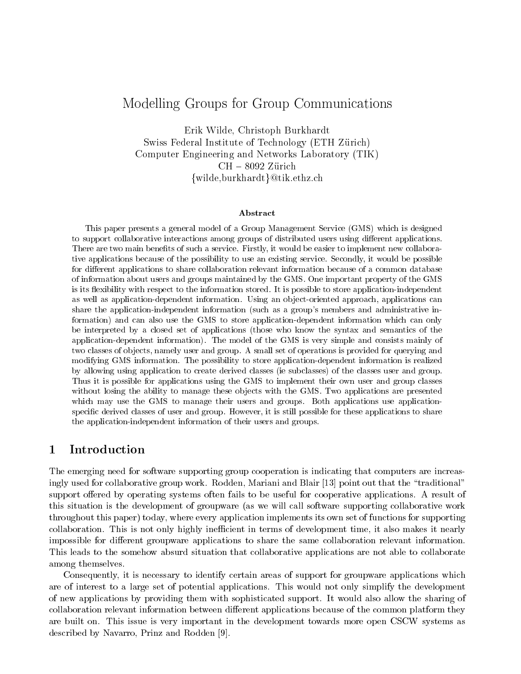# Modelling Groups for Group Communications

Erik Wilde, Christoph Burkhardt Swiss Federal Institute of Technology (ETH Zurich) Computer Engineering and Networks Laboratory (TIK)  $\cup$ H  $\cup$   $\cup$   $\in$   $\cup$   $\in$   $\cup$   $\in$   $\cup$   $\in$   $\cup$   $\in$   $\cup$   $\in$   $\cup$   $\in$   $\cup$   $\in$   $\cup$   $\in$   $\cup$   $\in$   $\cup$   $\in$   $\cup$   $\in$   $\cup$   $\in$   $\cup$   $\in$   $\cup$   $\in$   $\cup$   $\in$   $\cup$   $\in$   $\cup$   $\in$   $\cup$   $\in$   $\cup$   $\in$   $\cup$   $\in$   $\{\text{wilde}, \text{burkhardt}\}$ @tik.ethz.ch

### Abstract

This paper presents a general model of a Group Management Service (GMS) which is designed to support collaborative interactions among groups of distributed users using different applications. There are two main benefits of such a service. Firstly, it would be easier to implement new collaborative applications because of the possibility to use an existing service. Secondly, it would be possible for different applications to share collaboration relevant information because of a common database of information about users and groups maintained by the GMS. One important property of the GMS is its flexibility with respect to the information stored. It is possible to store application-independent as well as application-dependent information. Using an ob ject-oriented approach, applications can share the application-independent information (such as a group's members and administrative information) and can also use the GMS to store application-dependent information which can only be interpreted by a closed set of applications (those who know the syntax and semantics of the application-dependent information). The model of the GMS is very simple and consists mainly of two classes of ob jects, namely user and group. A small set of operations is provided for querying and modifying GMS information. The possibility to store application-dependent information is realized by allowing using application to create derived classes (ie subclasses) of the classes user and group. Thus it is possible for applications using the GMS to implement their own user and group classes without losing the ability to manage these objects with the GMS. Two applications are presented which may use the GMS to manage their users and groups. Both applications use applicationspecific derived classes of user and group. However, it is still possible for these applications to share the application-independent information of their users and groups.

### 1 Introduction

The emerging need for software supporting group cooperation is indicating that computers are increasingly used for collaborative group work. Rodden, Mariani and Blair [13] point out that the \traditional" support offered by operating systems often fails to be useful for cooperative applications. A result of this situation is the development of groupware (as we will call software supporting collaborative work throughout this paper) today, where every application implements its own set of functions for supporting collaboration. This is not only highly inefficient in terms of development time, it also makes it nearly impossible for different groupware applications to share the same collaboration relevant information. This leads to the somehow absurd situation that collaborative applications are not able to collaborate among themselves.

Consequently, it is necessary to identify certain areas of support for groupware applications which are of interest to a large set of potential applications. This would not only simplify the development of new applications by providing them with sophisticated support. It would also allow the sharing of collaboration relevant information between different applications because of the common platform they are built on. This issue is very important in the development towards more open CSCW systems as described by Navarro, Prinz and Rodden [9].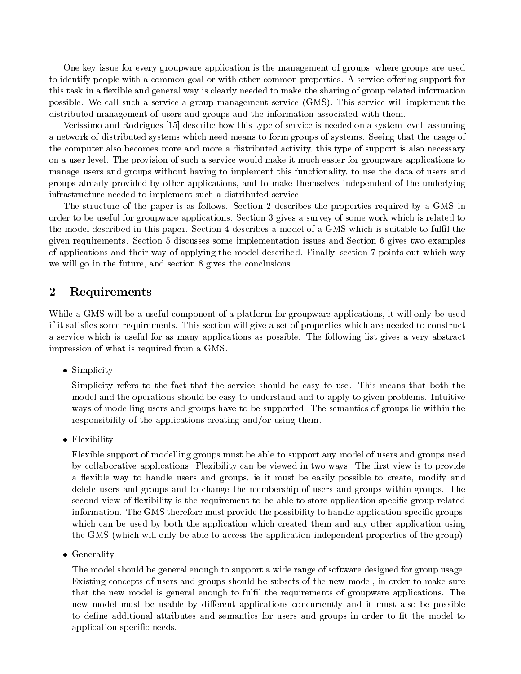One key issue for every groupware application is the management of groups, where groups are used to identify people with a common goal or with other common properties. A service offering support for this task in a flexible and general way is clearly needed to make the sharing of group related information possible. We call such a service a group management service (GMS). This service will implement the distributed management of users and groups and the information associated with them.

Verissimo and Rodrigues [15] describe how this type of service is needed on a system level, assuming a network of distributed systems which need means to form groups of systems. Seeing that the usage of the computer also becomes more and more a distributed activity, this type of support is also necessary on a user level. The provision of such a service would make it much easier for groupware applications to manage users and groups without having to implement this functionality, to use the data of users and groups already provided by other applications, and to make themselves independent of the underlying infrastructure needed to implement such a distributed service.

The structure of the paper is as follows. Section 2 describes the properties required by a GMS in order to be useful for groupware applications. Section 3 gives a survey of some work which is related to the model described in this paper. Section 4 describes a model of a GMS which is suitable to fulfil the given requirements. Section 5 discusses some implementation issues and Section 6 gives two examples of applications and their way of applying the model described. Finally, section 7 points out which way we will go in the future, and section 8 gives the conclusions.

### 2 Requirements

While a GMS will be a useful component of a platform for groupware applications, it will only be used if it satises some requirements. This section will give a set of properties which are needed to construct a service which is useful for as many applications as possible. The following list gives a very abstract impression of what is required from a GMS.

Simple Simple Simple Simple Simple Simple Simple Simple Simple Simple Simple Simple Simple Simple Simple Simple

Simplicity refers to the fact that the service should be easy to use. This means that both the model and the operations should be easy to understand and to apply to given problems. Intuitive ways of modelling users and groups have to be supported. The semantics of groups lie within the responsibility of the applications creating and/or using them.

Flexibility is a set of the set of the set of the set of the set of the set of the set of the set of the set of the set of the set of the set of the set of the set of the set of the set of the set of the set of the set of

Flexible support of modelling groups must be able to support any model of users and groups used by collaborative applications. Flexibility can be viewed in two ways. The first view is to provide a flexible way to handle users and groups, ie it must be easily possible to create, modify and delete users and groups and to change the membership of users and groups within groups. The second view of flexibility is the requirement to be able to store application-specific group related information. The GMS therefore must provide the possibility to handle application-specific groups, which can be used by both the application which created them and any other application using the GMS (which will only be able to access the application-independent properties of the group).

Generality of the contract of the contract of the contract of the contract of the contract of the contract of the contract of the contract of the contract of the contract of the contract of the contract of the contract of

The model should be general enough to support a wide range of software designed for group usage. Existing concepts of users and groups should be subsets of the new model, in order to make sure that the new model is general enough to fulfil the requirements of groupware applications. The new model must be usable by different applications concurrently and it must also be possible to define additional attributes and semantics for users and groups in order to fit the model to application-specic needs.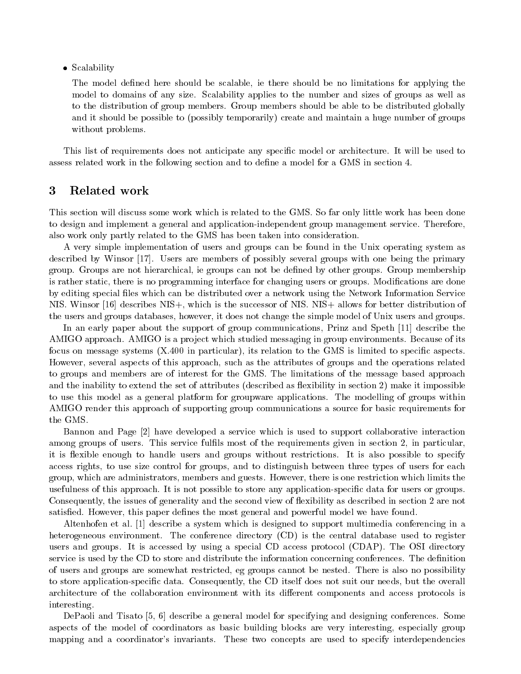Scalability of the set of  $\sim$ 

The model defined here should be scalable, ie there should be no limitations for applying the model to domains of any size. Scalability applies to the number and sizes of groups as well as to the distribution of group members. Group members should be able to be distributed globally and it should be possible to (possibly temporarily) create and maintain a huge number of groups without problems.

This list of requirements does not anticipate any specic model or architecture. It will be used to assess related work in the following section and to dene a model for a GMS in section 4.

#### 3 Related work

This section will discuss some work which is related to the GMS. So far only little work has been done to design and implement a general and application-independent group management service. Therefore, also work only partly related to the GMS has been taken into consideration.

A very simple implementation of users and groups can be found in the Unix operating system as described by Winsor [17]. Users are members of possibly several groups with one being the primary group. Groups are not hierarchical, ie groups can not be dened by other groups. Group membership is rather static, there is no programming interface for changing users or groups. Modications are done by editing special files which can be distributed over a network using the Network Information Service NIS. Winsor [16] describes NIS+, which is the successor of NIS. NIS+ allows for better distribution of the users and groups databases, however, it does not change the simple model of Unix users and groups.

In an early paper about the support of group communications, Prinz and Speth [11] describe the AMIGO approach. AMIGO is a project which studied messaging in group environments. Because of its focus on message systems (X.400 in particular), its relation to the GMS is limited to specific aspects. However, several aspects of this approach, such as the attributes of groups and the operations related to groups and members are of interest for the GMS. The limitations of the message based approach and the inability to extend the set of attributes (described as flexibility in section 2) make it impossible to use this model as a general platform for groupware applications. The modelling of groups within AMIGO render this approach of supporting group communications a source for basic requirements for the GMS.

Bannon and Page [2] have developed a service which is used to support collaborative interaction among groups of users. This service fulfils most of the requirements given in section 2, in particular. it is flexible enough to handle users and groups without restrictions. It is also possible to specify access rights, to use size control for groups, and to distinguish between three types of users for each group, which are administrators, members and guests. However, there is one restriction which limits the usefulness of this approach. It is not possible to store any application-specic data for users or groups. Consequently, the issues of generality and the second view of flexibility as described in section 2 are not satisfied. However, this paper defines the most general and powerful model we have found.

Altenhofen et al. [1] describe a system which is designed to support multimedia conferencing in a heterogeneous environment. The conference directory (CD) is the central database used to register users and groups. It is accessed by using a special CD access protocol (CDAP). The OSI directory service is used by the CD to store and distribute the information concerning conferences. The definition of users and groups are somewhat restricted, eg groups cannot be nested. There is also no possibility to store application-specic data. Consequently, the CD itself does not suit our needs, but the overall architecture of the collaboration environment with its different components and access protocols is interesting.

DePaoli and Tisato [5, 6] describe a general model for specifying and designing conferences. Some aspects of the model of coordinators as basic building blocks are very interesting, especially group mapping and a coordinator's invariants. These two concepts are used to specify interdependencies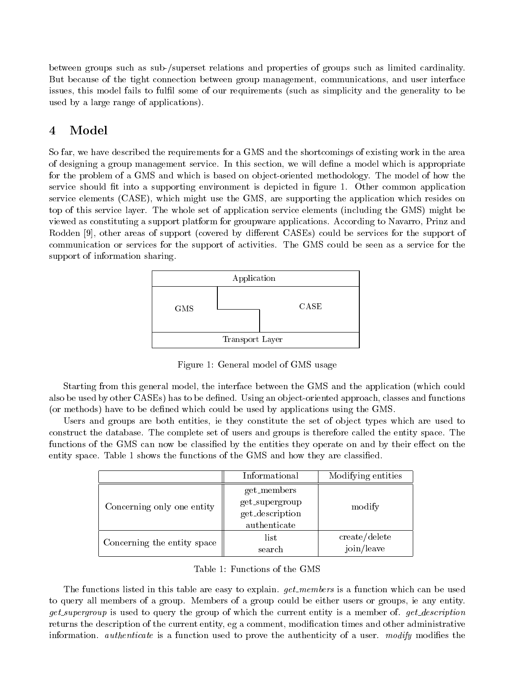between groups such as sub-/superset relations and properties of groups such as limited cardinality. But because of the tight connection between group management, communications, and user interface issues, this model fails to full some of our requirements (such as simplicity and the generality to be used by a large range of applications).

# 4 Model

So far, we have described the requirements for a GMS and the shortcomings of existing work in the area of designing a group management service. In this section, we will dene a model which is appropriate for the problem of a GMS and which is based on object-oriented methodology. The model of how the service should fit into a supporting environment is depicted in figure 1. Other common application service elements (CASE), which might use the GMS, are supporting the application which resides on top of this service layer. The whole set of application service elements (including the GMS) might be viewed as constituting a support platform for groupware applications. According to Navarro, Prinz and Rodden [9], other areas of support (covered by different CASEs) could be services for the support of communication or services for the support of activities. The GMS could be seen as a service for the support of information sharing.



Figure 1: General model of GMS usage

Starting from this general model, the interface between the GMS and the application (which could also be used by other CASEs) has to be defined. Using an object-oriented approach, classes and functions (or methods) have to be dened which could be used by applications using the GMS.

Users and groups are both entities, ie they constitute the set of object types which are used to construct the database. The complete set of users and groups is therefore called the entity space. The functions of the GMS can now be classified by the entities they operate on and by their effect on the entity space. Table 1 shows the functions of the GMS and how they are classied.

|                             | Informational                                                    | Modifying entities          |  |
|-----------------------------|------------------------------------------------------------------|-----------------------------|--|
| Concerning only one entity  | get_members<br>get_supergroup<br>get_description<br>authenticate | modify                      |  |
| Concerning the entity space | list<br>search                                                   | create/delete<br>join/leave |  |

Table 1: Functions of the GMS

The functions listed in this table are easy to explain. *get\_members* is a function which can be used to query all members of a group. Members of a group could be either users or groups, ie any entity. get\_supergroup is used to query the group of which the current entity is a member of. get\_description returns the description of the current entity, eg a comment, modification times and other administrative information. *authenticate* is a function used to prove the authenticity of a user. *modify* modifies the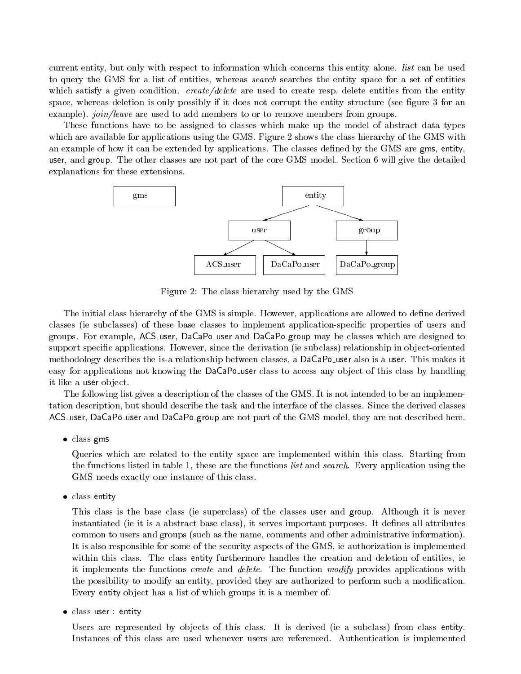current entity, but only with respect to information which concerns this entity alone. *list* can be used to query the GMS for a list of entities, whereas search searches the entity space for a set of entities which satisfy a given condition. *create/delete* are used to create resp. delete entities from the entity space, whereas deletion is only possibly if it does not corrupt the entity structure (see figure 3 for an example). *join/leave* are used to add members to or to remove members from groups.

These functions have to be assigned to classes which make up the model of abstract data types which are available for applications using the GMS. Figure 2 shows the class hierarchy of the GMS with an example of how it can be extended by applications. The classes defined by the GMS are gms, entity, user, and group. The other classes are not part of the core GMS model. Section 6 will give the detailed explanations for these extensions.



Figure 2: The class hierarchy used by the GMS

The initial class hierarchy of the GMS is simple. However, applications are allowed to define derived classes (ie subclasses) of these base classes to implement application-specic properties of users and groups. For example, ACS user, DaCaPo user and DaCaPo group may be classes which are designed to support specific applications. However, since the derivation (ie subclass) relationship in object-oriented methodology describes the is-a relationship between classes, a DaCaPo<sub>r</sub>user also is a user. This makes it easy for applications not knowing the DaCaPo user class to access any object of this class by handling it like a user object.

The following list gives a description of the classes of the GMS. It is not intended to be an implementation description, but should describe the task and the interface of the classes. Since the derived classes ACS user, DaCaPo user and DaCaPo group are not part of the GMS model, they are not described here.

class gms

Queries which are related to the entity space are implemented within this class. Starting from the functions listed in table 1, these are the functions list and search. Every application using the GMS needs exactly one instance of this class.

class entity of the contract of the contract of the contract of the contract of the contract of the contract of

This class is the base class (ie superclass) of the classes user and group. Although it is never instantiated (ie it is a abstract base class), it serves important purposes. It defines all attributes common to users and groups (such as the name, comments and other administrative information). It is also responsible for some of the security aspects of the GMS, ie authorization is implemented within this class. The class entity furthermore handles the creation and deletion of entities, ie it implements the functions *create* and *delete*. The function modify provides applications with the possibility to modify an entity, provided they are authorized to perform such a modication. Every entity object has a list of which groups it is a member of.

class user : entity of the contract of the contract of the contract of the contract of the contract of the contract of the contract of the contract of the contract of the contract of the contract of the contract of the con

Users are represented by objects of this class. It is derived (ie a subclass) from class entity. Instances of this class are used whenever users are referenced. Authentication is implemented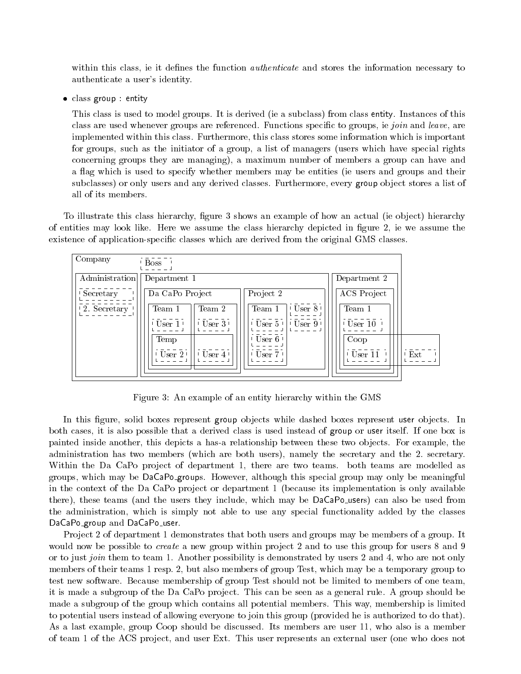within this class, ie it defines the function *authenticate* and stores the information necessary to authenticate a user's identity.

class group : entity

This class is used to model groups. It is derived (ie a subclass) from class entity. Instances of this class are used whenever groups are referenced. Functions specific to groups, ie join and leave, are implemented within this class. Furthermore, this class stores some information which is important for groups, such as the initiator of a group, a list of managers (users which have special rights concerning groups they are managing), a maximum number of members a group can have and a flag which is used to specify whether members may be entities (ie users and groups and their subclasses) or only users and any derived classes. Furthermore, every group object stores a list of all of its members.

To illustrate this class hierarchy, figure 3 shows an example of how an actual (ie object) hierarchy of entities may look like. Here we assume the class hierarchy depicted in gure 2, ie we assume the existence of application-specic classes which are derived from the original GMS classes.

| Company                  | <b>Boss</b>           |                         |                    |     |
|--------------------------|-----------------------|-------------------------|--------------------|-----|
| Administration           | Department 1          |                         | Department 2       |     |
| ! Secretary              | Da CaPo Project       | Project 2               | <b>ACS</b> Project |     |
| <sup>1</sup> 2 Secretary | Team 1<br>Team 2      | User $81$<br>Team 1     | Team 1             |     |
|                          | User 1!<br>User $3$   | User $5$ !<br>User $91$ | $\cdot$ User 10    |     |
|                          | Temp                  | User 6!                 | Coop               |     |
|                          | User 2<br>$'$ User 4! | User 7                  | User 11            | Ext |
|                          |                       |                         |                    |     |

Figure 3: An example of an entity hierarchy within the GMS

In this figure, solid boxes represent group objects while dashed boxes represent user objects. In both cases, it is also possible that a derived class is used instead of group or user itself. If one box is painted inside another, this depicts a has-a relationship between these two ob jects. For example, the administration has two members (which are both users), namely the secretary and the 2. secretary. Within the Da CaPo project of department 1, there are two teams. both teams are modelled as groups, which may be DaCaPo groups. However, although this special group may only be meaningful in the context of the Da CaPo project or department  $1$  (because its implementation is only available there), these teams (and the users they include, which may be DaCaPo\_users) can also be used from the administration, which issimply not able to use any special functionality added by the classes DaCaPo\_group and DaCaPo\_user.

Project 2 of department 1 demonstrates that both users and groups may be members of a group. It would now be possible to *create* a new group within project 2 and to use this group for users 8 and 9 or to just join them to team 1. Another possibility is demonstrated by users 2 and 4, who are not only members of their teams 1 resp. 2, but also members of group Test, which may be a temporary group to test new software. Because membership of group Test should not be limited to members of one team, it is made a subgroup of the Da CaPo project. This can be seen as a general rule. A group should be made a subgroup of the group which contains all potential members. This way, membership is limited to potential users instead of allowing everyone to join this group (provided he is authorized to do that). As a last example, group Coop should be discussed. Its members are user 11, who also is a member of team 1 of the ACS project, and user Ext. This user represents an external user (one who does not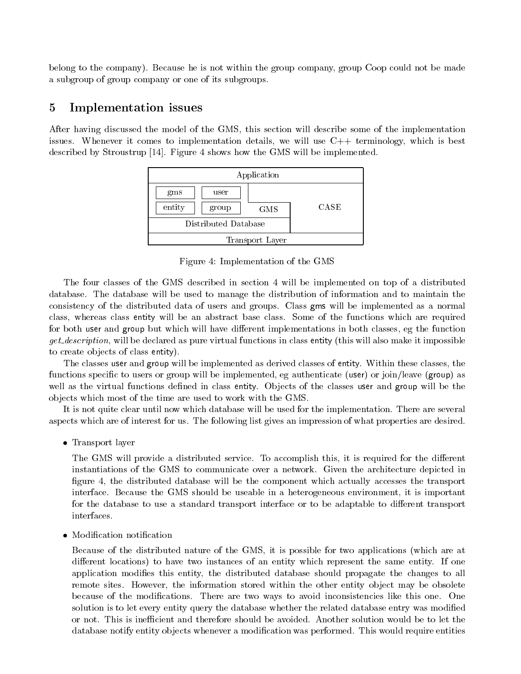belong to the company). Because he is not within the group company, group Coop could not be made a subgroup of group company or one of its subgroups.

### 5 Implementation issues

After having discussed the model of the GMS, this section willdescribe some of the implementation issues. Whenever it comes to implementation details, we will use C++ terminology, which is best described by Stroustrup [14]. Figure 4 shows how the GMS will be implemented.



Figure 4: Implementation of the GMS

The four classes of the GMS described in section 4 will be implemented on top of a distributed database. The database will be used to manage the distribution of information and to maintain the consistency of the distributed data of users and groups. Class gms will be implemented asa normal class, whereas class entity will be an abstract base class. Some of the functions which are required for both user and group but which will have different implementations in both classes, eg the function get\_description, will be declared as pure virtual functions in class entity (this will also make it impossible to create objects of class entity).

The classes user and group will be implemented as derived classes of entity. Within these classes, the functions specific to users or group will be implemented, eg authenticate (user) or join/leave (group) as well as the virtual functions defined in class entity. Objects of the classes user and group will be the ob jects which most of the time are used to work with the GMS.

It is not quite clear until now which database will be used for the implementation. There are several aspects which are of interest for us. The following list gives an impression of what properties are desired.

Transport layer layer in the second contract of the second contract of the second contract of the second contract of the second contract of the second contract of the second contract of the second contract of the second co

The GMS will provide a distributed service. To accomplish this, it is required for the different instantiations of the GMS to communicate over a network. Given the architecture depicted in figure 4, the distributed database will be the component which actually accesses the transport interface. Because the GMS should be useable in a heterogeneous environment, it is important for the database to use a standard transport interface or to be adaptable to different transport interfaces.

Because of the distributed nature of the GMS, it is possible for two applications (which are at different locations) to have two instances of an entity which represent the same entity. If one application modies this entity, the distributed database should propagate the changes to all remote sites. However, the information stored within the other entity object may be obsolete because of the modications. There are two ways to avoid inconsistencies like this one. One solution is to let every entity query the database whether the related database entry was modied or not. This is inefficient and therefore should be avoided. Another solution would be to let the database notify entity objects whenever a modification was performed. This would require entities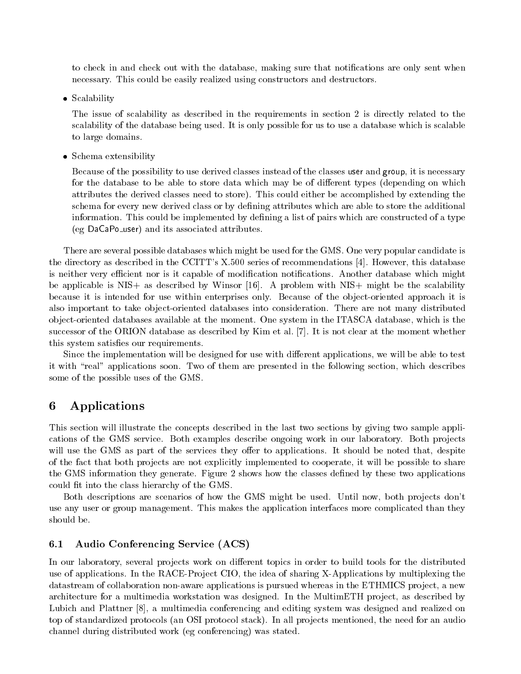to check in and check out with the database, making sure that notifications are only sent when necessary. This could be easily realized using constructors and destructors.

Scalability of the second second second second second second second second second second second second second second second second second second second second second second second second second second second second second

The issue of scalability as described in the requirements in section 2 is directly related to the scalability of the database being used. It is only possible for us to use a database which is scalable to large domains.

Schematic continuation and its property of the second state of the second state of the second state of the second state of the second state of the second state of the second state of the second state of the second state of

Because of the possibility to use derived classes instead of the classes user and group, it is necessary for the database to be able to store data which may be of different types (depending on which attributes the derived classes need to store). This could either be accomplished by extending the schema for every new derived class or by defining attributes which are able to store the additional information. This could be implemented by defining a list of pairs which are constructed of a type (eg DaCaPo user) and its associated attributes.

There are several possible databases which might be used for the GMS. One very popular candidate is the directory as described in the CCITT's X.500 series of recommendations [4]. However, this database is neither very efficient nor is it capable of modification notifications. Another database which might be applicable is  $NIS+$  as described by Winsor [16]. A problem with  $NIS+$  might be the scalability because it is intended for use within enterprises only. Because of the object-oriented approach it is also important to take object-oriented databases into consideration. There are not many distributed ob ject-oriented databases available at the moment. One system in the ITASCA database, which is the successor of the ORION database as described by Kim et al. [7]. It is not clear at the moment whether this system satisfies our requirements.

Since the implementation will be designed for use with different applications, we will be able to test it with "real" applications soon. Two of them are presented in the following section, which describes some of the possible uses of the GMS.

#### 6 **Applications**

This section will illustrate the concepts described in the last two sections by giving two sample applications of the GMS service. Both examples describe ongoing work in our laboratory. Both projects will use the GMS as part of the services they offer to applications. It should be noted that, despite of the fact that both projects are not explicitly implemented to cooperate, it will be possible to share the GMS information they generate. Figure 2 shows how the classes defined by these two applications could fit into the class hierarchy of the GMS.

Both descriptions are scenarios of how the GMS might be used. Until now, both projects don't use any user or group management. This makes the application interfaces more complicated than they should be.

#### 6.1 Audio Conferencing Service (ACS)  $6.1$

In our laboratory, several projects work on different topics in order to build tools for the distributed use of applications. In the RACE-Project CIO, the idea of sharing X-Applications by multiplexing the datastream of collaboration non-aware applications is pursued whereas in the ETHMICS project, a new architecture for a multimedia workstation was designed. In the MultimETH project, as described by Lubich and Plattner [8], a multimedia conferencing and editing system was designed and realized on top of standardized protocols (an OSI protocol stack). In all projects mentioned, the need for an audio channel during distributed work (eg conferencing) was stated.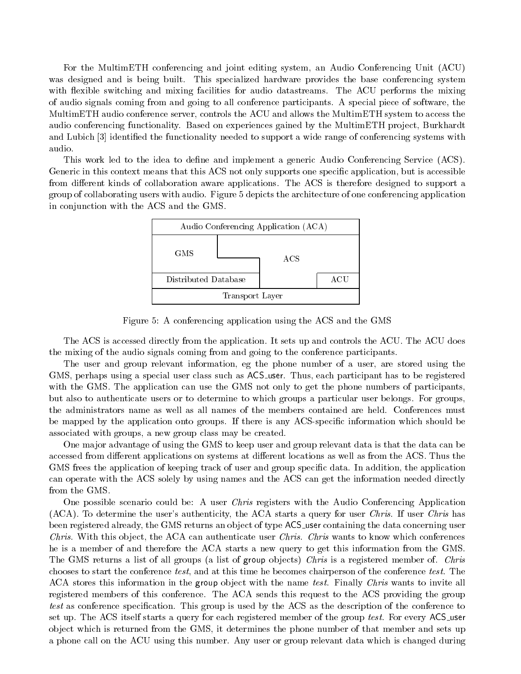For the MultimETH conferencing and joint editing system, an Audio Conferencing Unit (ACU) was designed and is being built. This specialized hardware provides the base conferencing system with flexible switching and mixing facilities for audio datastreams. The ACU performs the mixing of audio signals coming from and going to all conference participants. A special piece of software, the MultimETH audio conference server, controls the ACU and allows the MultimETH system to access the audio conferencing functionality. Based on experiences gained by the MultimETH project, Burkhardt and Lubich [3] identified the functionality needed to support a wide range of conferencing systems with audio.

This work led to the idea to define and implement a generic Audio Conferencing Service (ACS). Generic in this context means that this ACS not only supports one specific application, but is accessible from different kinds of collaboration aware applications. The ACS is therefore designed to support a group of collaborating users with audio. Figure 5 depicts the architecture of one conferencing application in conjunction with the ACS and the GMS.



Figure 5: A conferencing application using the ACS and the GMS

The ACS is accessed directly from the application. It sets up and controls the ACU. The ACU does the mixing of the audio signals coming from and going to the conference participants.

The user and group relevant information, eg the phone number of a user, are stored using the GMS, perhaps using a special user class such as ACS user. Thus, each participant has to be registered with the GMS. The application can use the GMS not only to get the phone numbers of participants. but also to authenticate users or to determine to which groups a particular user belongs. For groups, the administrators name as well as all names of the members contained are held. Conferences must be mapped by the application onto groups. If there is any ACS-specic information which should be associated with groups, a new group class may be created.

One major advantage of using the GMS to keep user and group relevant data is that the data can be accessed from different applications on systems at different locations as well as from the ACS. Thus the GMS frees the application of keeping track of user and group specic data. In addition, the application can operate with the ACS solely by using names and the ACS can get the information needed directly from the GMS.

One possible scenario could be: A user Chris registers with the Audio Conferencing Application (ACA). To determine the user's authenticity, the ACA starts a query for user *Chris*. If user *Chris* has been registered already, the GMS returns an object of type ACS user containing the data concerning user Chris. With this object, the ACA can authenticate user Chris. Chris wants to know which conferences he is a member of and therefore the ACA starts a new query to get this information from the GMS. The GMS returns a list of all groups (a list of group objects) Chris is a registered member of. Chris chooses to start the conference test, and at this time he becomes chairperson of the conference test. The ACA stores this information in the group object with the name test. Finally Chris wants to invite all registered members of this conference. The ACA sends this request to the ACS providing the group test as conference specification. This group is used by the ACS as the description of the conference to set up. The ACS itself starts a query for each registered member of the group test. For every ACS user ob ject which is returned from the GMS, it determines the phone number of that member and sets up a phone call on the ACU using this number. Any user or group relevant data which is changed during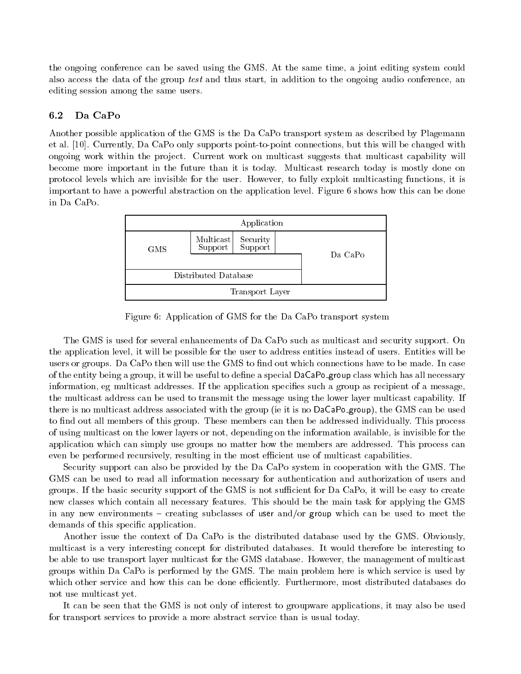the ongoing conference can be saved using the GMS. At the same time, a joint editing system could also access the data of the group test and thus start, in addition to the ongoing audio conference, an editing session among the same users.

#### 6.2 Da CaPo

Another possible application of the GMS is the Da CaPo transport system as described by Plagemann et al. [10]. Currently, Da CaPo only supports point-to-point connections, but this will be changed with ongoing work within the project. Current work on multicast suggests that multicast capability will become more important in the future than it is today. Multicast research today is mostly done on protocol levels which are invisible for the user. However, to fully exploit multicasting functions, it is important to have a powerful abstraction on the application level. Figure 6 shows how this can be done



Figure 6: Application of GMS for the Da CaPo transport system

The GMS is used for several enhancements of Da CaPo such as multicast and security support. On the application level, it will be possible for the user to address entities instead of users. Entities will be users or groups. Da CaPo then will use the GMS to find out which connections have to be made. In case of the entity being a group, it will be useful to define a special DaCaPo group class which has all necessary information, eg multicast addresses. If the application specifies such a group as recipient of a message, the multicast address can be used to transmit the message using the lower layer multicast capability. If there is no multicast address associated with the group (ie it is no DaCaPo group), the GMS can be used to find out all members of this group. These members can then be addressed individually. This process of using multicast on the lower layers or not, depending on the information available, is invisible for the application which can simply use groups no matter how the members are addressed. This process can even be performed recursively, resulting in the most efficient use of multicast capabilities.

Security support can also be provided by the Da CaPo system in cooperation with the GMS. The GMS can be used to read all information necessary for authentication and authorization of users and groups. If the basic security support of the GMS is not sufficient for Da CaPo, it will be easy to create new classes which contain all necessary features. This should be the main task for applying the GMS in any new environments  $-$  creating subclasses of user and/or group which can be used to meet the demands of this specic application.

Another issue the context of Da CaPo is the distributed database used by the GMS. Obviously, multicast is a very interesting concept for distributed databases. It would therefore be interesting to be able to use transport layer multicast for the GMS database. However, the management of multicast groups within Da CaPo is performed by the GMS. The main problem here is which service is used by which other service and how this can be done efficiently. Furthermore, most distributed databases do not use multicast yet.

It can be seen that the GMS is not only of interest to groupware applications, it may also be used for transport services to provide a more abstract service than is usual today.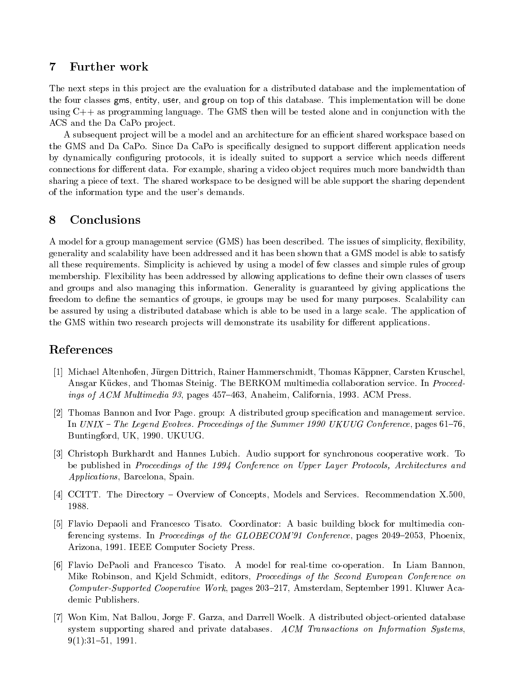## 7 Further work

The next steps in this project are the evaluation for a distributed database and the implementation of the four classes gms, entity, user, and group on top of this database. This implementation will be done using C++ as programming language. The GMS then will be tested alone and in conjunction with the ACS and the Da CaPo project.

A subsequent project will be a model and an architecture for an efficient shared workspace based on the GMS and Da CaPo. Since Da CaPo is specifically designed to support different application needs by dynamically configuring protocols, it is ideally suited to support a service which needs different connections for different data. For example, sharing a video object requires much more bandwidth than sharing a piece of text. The shared workspace to be designed will be able support the sharing dependent of the information type and the user's demands.

### 8 Conclusions

A model for a group management service (GMS) has been described. The issues of simplicity, flexibility, generality and scalability have been addressed and it has been shown that a GMS model is able to satisfy all these requirements. Simplicity is achieved by using a model of few classes and simple rules of group membership. Flexibility has been addressed by allowing applications to define their own classes of users and groups and also managing this information. Generality is guaranteed by giving applications the freedom to define the semantics of groups, ie groups may be used for many purposes. Scalability can be assured by using a distributed database which is able to be used in a large scale. The application of the GMS within two research projects will demonstrate its usability for different applications.

### References

- [1] Michael Altenhofen, Jurgen Dittrich, Rainer Hammerschmidt, Thomas Kappner, Carsten Kruschel, Ansgar Kückes, and Thomas Steinig. The BERKOM multimedia collaboration service. In Proceedings of ACM Multimedia 93, pages 457–463, Anaheim, California, 1993. ACM Press.
- [2] Thomas Bannon and Ivor Page. group: A distributed group specification and management service. In UNIX – The Legend Evolves. Proceedings of the Summer 1990 UKUUG Conference, pages  $61-76$ . Buntingford, UK, 1990. UKUUG.
- [3] Christoph Burkhardt and Hannes Lubich. Audio support for synchronous cooperative work. To be published in Proceedings of the 1994 Conference on Upper Layer Protocols, Architectures and Applications, Barcelona, Spain.
- [4] CCITT. The Directory Overview of Concepts, Models and Services. Recommendation X.500, 1988.
- [5] Flavio Depaoli and Francesco Tisato. Coordinator: A basic building block for multimedia conferencing systems. In *Proceedings of the GLOBECOM'91 Conference*, pages  $2049-2053$ , Phoenix. Arizona, 1991. IEEE Computer Society Press.
- [6] Flavio DePaoli and Francesco Tisato. A model for real-time co-operation. In Liam Bannon, Mike Robinson, and Kjeld Schmidt, editors, Proceedings of the Second European Conference on Computer-Supported Cooperative Work, pages 203–217, Amsterdam, September 1991. Kluwer Academic Publishers.
- [7] Won Kim, Nat Ballou, Jorge F. Garza, and Darrell Woelk. A distributed object-oriented database system supporting shared and private databases. ACM Transactions on Information Systems,  $9(1):31{-}51, 1991.$